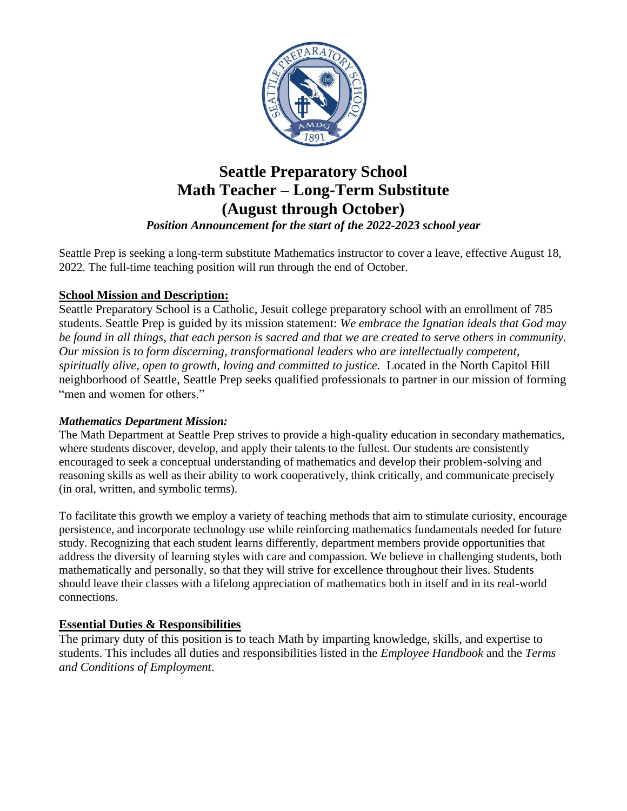

# **Seattle Preparatory School Math Teacher – Long-Term Substitute (August through October)**

*Position Announcement for the start of the 2022-2023 school year*

Seattle Prep is seeking a long-term substitute Mathematics instructor to cover a leave, effective August 18, 2022. The full-time teaching position will run through the end of October.

## **School Mission and Description:**

Seattle Preparatory School is a Catholic, Jesuit college preparatory school with an enrollment of 785 students. Seattle Prep is guided by its mission statement: *We embrace the Ignatian ideals that God may be found in all things, that each person is sacred and that we are created to serve others in community. Our mission is to form discerning, transformational leaders who are intellectually competent, spiritually alive, open to growth, loving and committed to justice.* Located in the North Capitol Hill neighborhood of Seattle, Seattle Prep seeks qualified professionals to partner in our mission of forming "men and women for others."

#### *Mathematics Department Mission:*

The Math Department at Seattle Prep strives to provide a high-quality education in secondary mathematics, where students discover, develop, and apply their talents to the fullest. Our students are consistently encouraged to seek a conceptual understanding of mathematics and develop their problem-solving and reasoning skills as well as their ability to work cooperatively, think critically, and communicate precisely (in oral, written, and symbolic terms).

To facilitate this growth we employ a variety of teaching methods that aim to stimulate curiosity, encourage persistence, and incorporate technology use while reinforcing mathematics fundamentals needed for future study. Recognizing that each student learns differently, department members provide opportunities that address the diversity of learning styles with care and compassion. We believe in challenging students, both mathematically and personally, so that they will strive for excellence throughout their lives. Students should leave their classes with a lifelong appreciation of mathematics both in itself and in its real-world connections.

# **Essential Duties & Responsibilities**

The primary duty of this position is to teach Math by imparting knowledge, skills, and expertise to students. This includes all duties and responsibilities listed in the *Employee Handbook* and the *Terms and Conditions of Employment*.